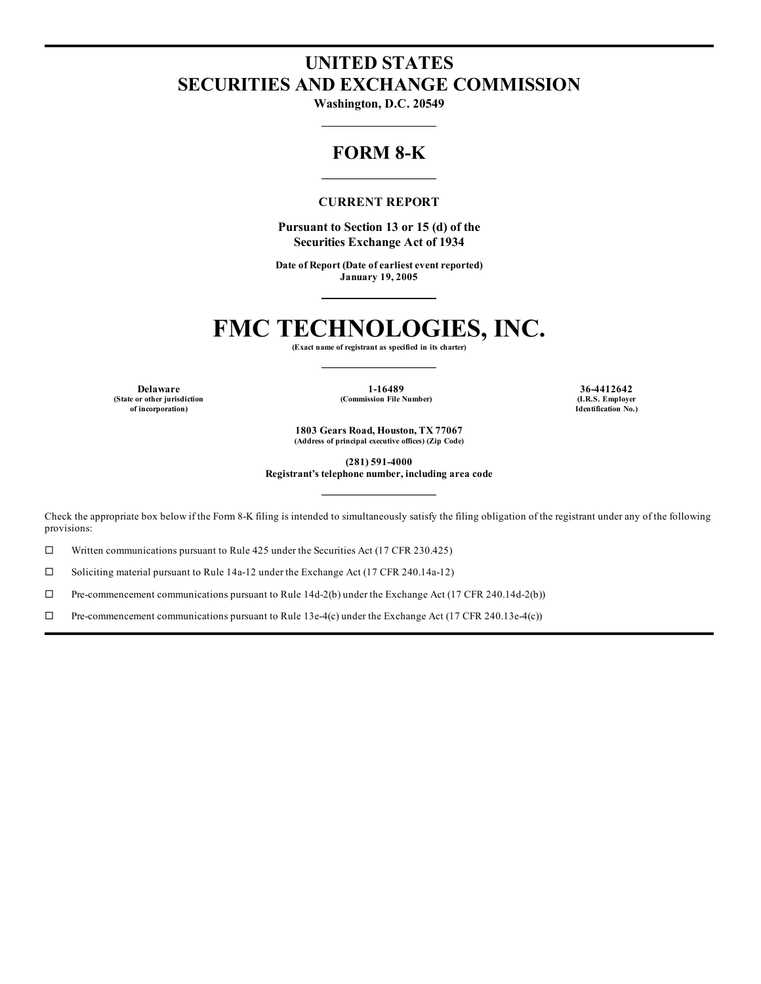## **UNITED STATES SECURITIES AND EXCHANGE COMMISSION**

**Washington, D.C. 20549**

### **FORM 8-K**

#### **CURRENT REPORT**

**Pursuant to Section 13 or 15 (d) of the Securities Exchange Act of 1934**

**Date of Report (Date of earliest event reported) January 19, 2005**

## **FMC TECHNOLOGIES, INC.**

**(Exact name of registrant as specified in its charter)**

**(State or other jurisdiction of incorporation)**

**Delaware 1-16489 36-4412642 (Commission File Number) (I.R.S. Employer**

**Identification No.)**

**1803 Gears Road, Houston, TX 77067 (Address of principal executive offices) (Zip Code)**

**(281) 591-4000**

**Registrant's telephone number, including area code**

Check the appropriate box below if the Form 8-K filing is intended to simultaneously satisfy the filing obligation of the registrant under any of the following provisions:

 $\Box$  Written communications pursuant to Rule 425 under the Securities Act (17 CFR 230.425)

 $\square$  Soliciting material pursuant to Rule 14a-12 under the Exchange Act (17 CFR 240.14a-12)

 $\Box$  Pre-commencement communications pursuant to Rule 14d-2(b) under the Exchange Act (17 CFR 240.14d-2(b))

 $\Box$  Pre-commencement communications pursuant to Rule 13e-4(c) under the Exchange Act (17 CFR 240.13e-4(c))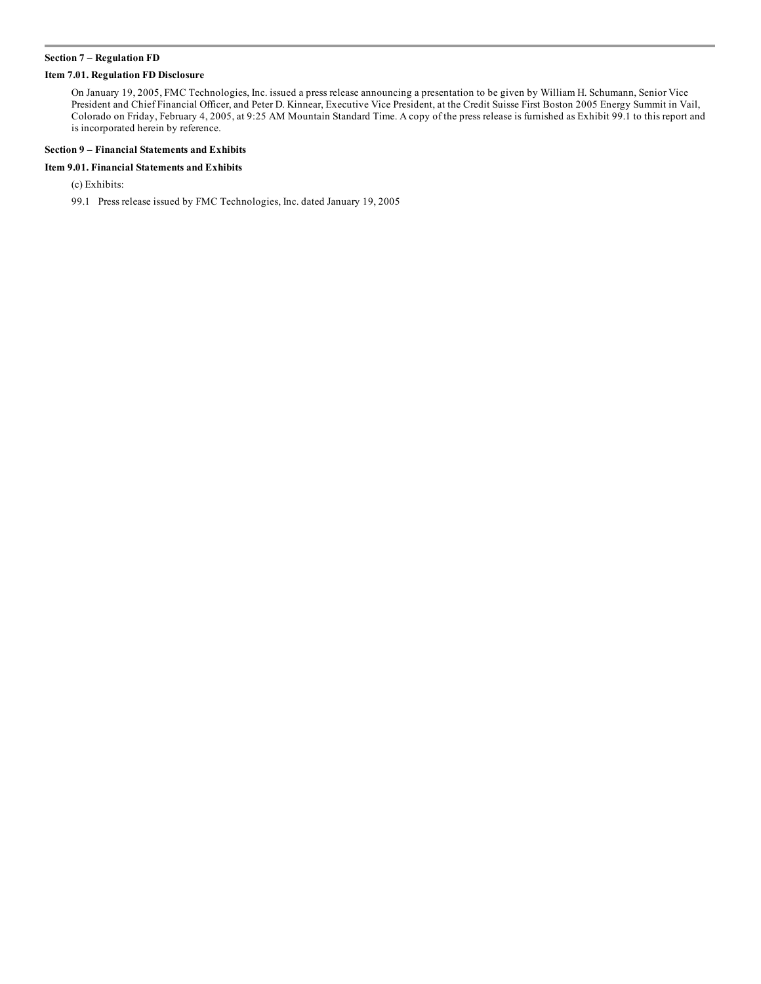#### **Section 7 – Regulation FD**

#### **Item 7.01. Regulation FD Disclosure**

On January 19, 2005, FMC Technologies, Inc. issued a press release announcing a presentation to be given by William H. Schumann, Senior Vice President and Chief Financial Officer, and Peter D. Kinnear, Executive Vice President, at the Credit Suisse First Boston 2005 Energy Summit in Vail, Colorado on Friday, February 4, 2005, at 9:25 AM Mountain Standard Time. A copy of the press release is furnished as Exhibit 99.1 to this report and is incorporated herein by reference.

#### **Section 9 – Financial Statements and Exhibits**

#### **Item 9.01. Financial Statements and Exhibits**

(c) Exhibits:

99.1 Press release issued by FMC Technologies, Inc. dated January 19, 2005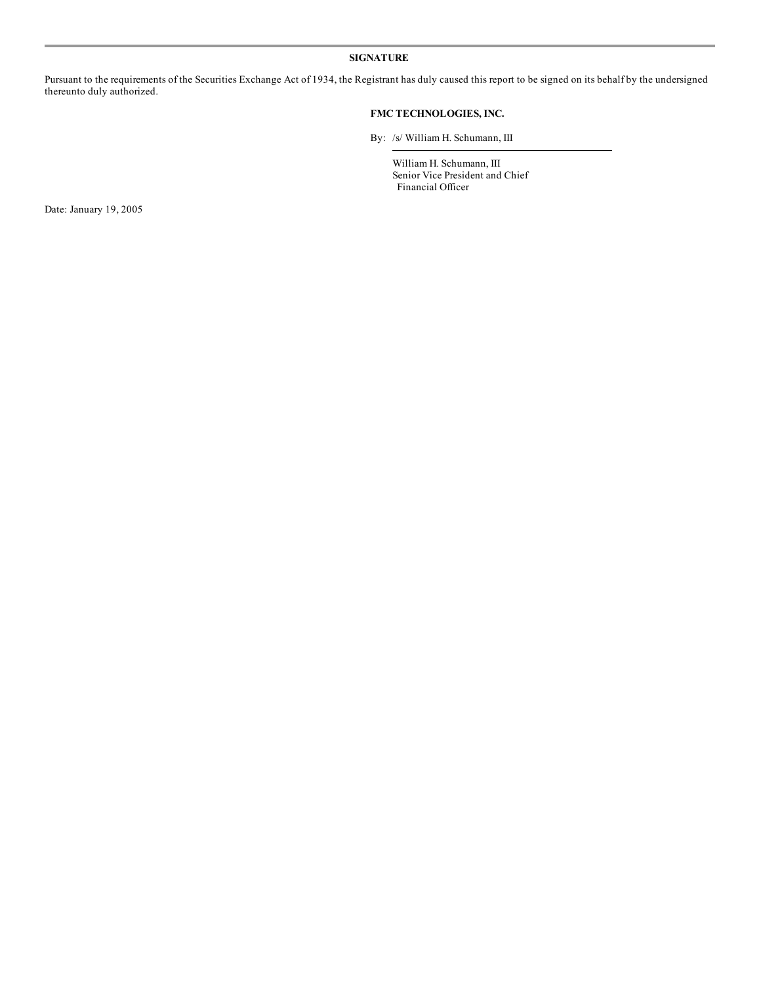#### **SIGNATURE**

Pursuant to the requirements of the Securities Exchange Act of 1934, the Registrant has duly caused this report to be signed on its behalf by the undersigned thereunto duly authorized.

#### **FMC TECHNOLOGIES, INC.**

By: /s/ William H. Schumann, III

William H. Schumann, III Senior Vice President and Chief Financial Officer

Date: January 19, 2005